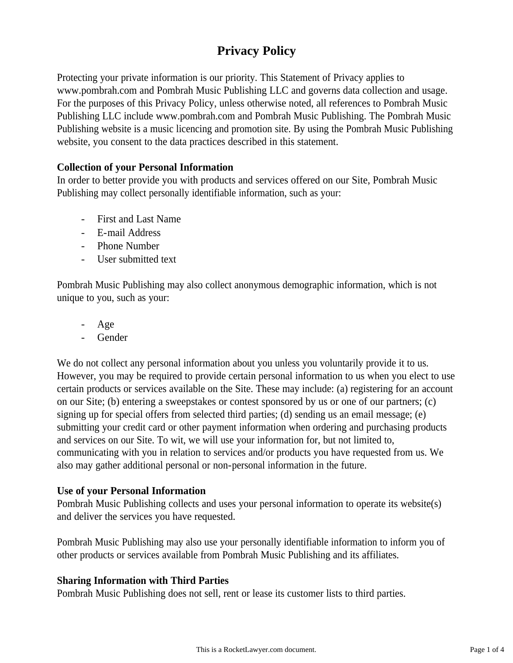# **Privacy Policy**

Protecting your private information is our priority. This Statement of Privacy applies to www.pombrah.com and Pombrah Music Publishing LLC and governs data collection and usage. For the purposes of this Privacy Policy, unless otherwise noted, all references to Pombrah Music Publishing LLC include www.pombrah.com and Pombrah Music Publishing. The Pombrah Music Publishing website is a music licencing and promotion site. By using the Pombrah Music Publishing website, you consent to the data practices described in this statement.

## **Collection of your Personal Information**

In order to better provide you with products and services offered on our Site, Pombrah Music Publishing may collect personally identifiable information, such as your:

- First and Last Name
- E-mail Address
- Phone Number
- User submitted text

Pombrah Music Publishing may also collect anonymous demographic information, which is not unique to you, such as your:

- Age
- **Gender**

We do not collect any personal information about you unless you voluntarily provide it to us. However, you may be required to provide certain personal information to us when you elect to use certain products or services available on the Site. These may include: (a) registering for an account on our Site; (b) entering a sweepstakes or contest sponsored by us or one of our partners; (c) signing up for special offers from selected third parties; (d) sending us an email message; (e) submitting your credit card or other payment information when ordering and purchasing products and services on our Site. To wit, we will use your information for, but not limited to, communicating with you in relation to services and/or products you have requested from us. We also may gather additional personal or non-personal information in the future.

### **Use of your Personal Information**

Pombrah Music Publishing collects and uses your personal information to operate its website(s) and deliver the services you have requested.

Pombrah Music Publishing may also use your personally identifiable information to inform you of other products or services available from Pombrah Music Publishing and its affiliates.

### **Sharing Information with Third Parties**

Pombrah Music Publishing does not sell, rent or lease its customer lists to third parties.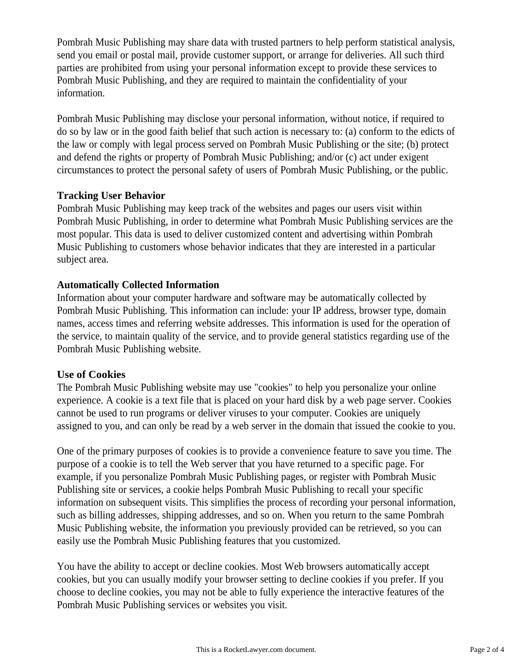Pombrah Music Publishing may share data with trusted partners to help perform statistical analysis, send you email or postal mail, provide customer support, or arrange for deliveries. All such third parties are prohibited from using your personal information except to provide these services to Pombrah Music Publishing, and they are required to maintain the confidentiality of your information.

Pombrah Music Publishing may disclose your personal information, without notice, if required to do so by law or in the good faith belief that such action is necessary to: (a) conform to the edicts of the law or comply with legal process served on Pombrah Music Publishing or the site; (b) protect and defend the rights or property of Pombrah Music Publishing; and/or (c) act under exigent circumstances to protect the personal safety of users of Pombrah Music Publishing, or the public.

## **Tracking User Behavior**

Pombrah Music Publishing may keep track of the websites and pages our users visit within Pombrah Music Publishing, in order to determine what Pombrah Music Publishing services are the most popular. This data is used to deliver customized content and advertising within Pombrah Music Publishing to customers whose behavior indicates that they are interested in a particular subject area.

# **Automatically Collected Information**

Information about your computer hardware and software may be automatically collected by Pombrah Music Publishing. This information can include: your IP address, browser type, domain names, access times and referring website addresses. This information is used for the operation of the service, to maintain quality of the service, and to provide general statistics regarding use of the Pombrah Music Publishing website.

# **Use of Cookies**

The Pombrah Music Publishing website may use "cookies" to help you personalize your online experience. A cookie is a text file that is placed on your hard disk by a web page server. Cookies cannot be used to run programs or deliver viruses to your computer. Cookies are uniquely assigned to you, and can only be read by a web server in the domain that issued the cookie to you.

One of the primary purposes of cookies is to provide a convenience feature to save you time. The purpose of a cookie is to tell the Web server that you have returned to a specific page. For example, if you personalize Pombrah Music Publishing pages, or register with Pombrah Music Publishing site or services, a cookie helps Pombrah Music Publishing to recall your specific information on subsequent visits. This simplifies the process of recording your personal information, such as billing addresses, shipping addresses, and so on. When you return to the same Pombrah Music Publishing website, the information you previously provided can be retrieved, so you can easily use the Pombrah Music Publishing features that you customized.

You have the ability to accept or decline cookies. Most Web browsers automatically accept cookies, but you can usually modify your browser setting to decline cookies if you prefer. If you choose to decline cookies, you may not be able to fully experience the interactive features of the Pombrah Music Publishing services or websites you visit.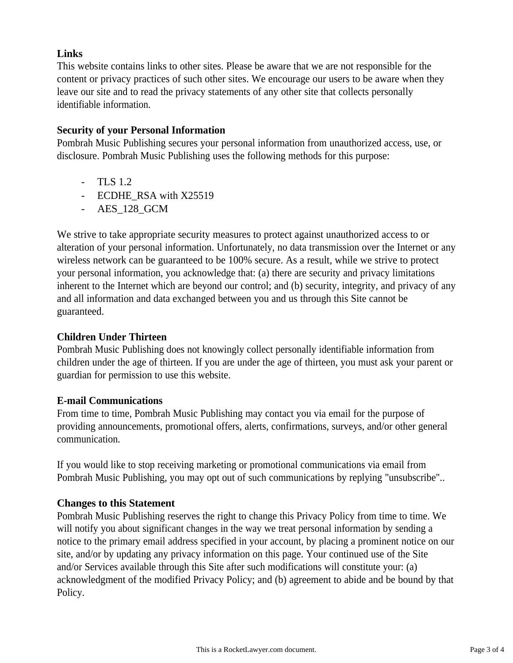# **Links**

This website contains links to other sites. Please be aware that we are not responsible for the content or privacy practices of such other sites. We encourage our users to be aware when they leave our site and to read the privacy statements of any other site that collects personally identifiable information.

# **Security of your Personal Information**

Pombrah Music Publishing secures your personal information from unauthorized access, use, or disclosure. Pombrah Music Publishing uses the following methods for this purpose:

- TLS 1.2
- ECDHE\_RSA with X25519
- AES\_128\_GCM

We strive to take appropriate security measures to protect against unauthorized access to or alteration of your personal information. Unfortunately, no data transmission over the Internet or any wireless network can be guaranteed to be 100% secure. As a result, while we strive to protect your personal information, you acknowledge that: (a) there are security and privacy limitations inherent to the Internet which are beyond our control; and (b) security, integrity, and privacy of any and all information and data exchanged between you and us through this Site cannot be guaranteed.

# **Children Under Thirteen**

Pombrah Music Publishing does not knowingly collect personally identifiable information from children under the age of thirteen. If you are under the age of thirteen, you must ask your parent or guardian for permission to use this website.

# **E-mail Communications**

From time to time, Pombrah Music Publishing may contact you via email for the purpose of providing announcements, promotional offers, alerts, confirmations, surveys, and/or other general communication.

If you would like to stop receiving marketing or promotional communications via email from Pombrah Music Publishing, you may opt out of such communications by replying "unsubscribe"..

# **Changes to this Statement**

Pombrah Music Publishing reserves the right to change this Privacy Policy from time to time. We will notify you about significant changes in the way we treat personal information by sending a notice to the primary email address specified in your account, by placing a prominent notice on our site, and/or by updating any privacy information on this page. Your continued use of the Site and/or Services available through this Site after such modifications will constitute your: (a) acknowledgment of the modified Privacy Policy; and (b) agreement to abide and be bound by that Policy.